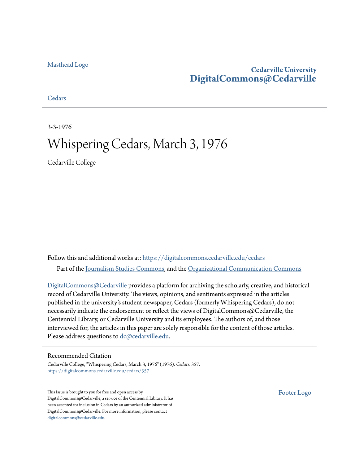#### [Masthead Logo](http://www.cedarville.edu/?utm_source=digitalcommons.cedarville.edu%2Fcedars%2F357&utm_medium=PDF&utm_campaign=PDFCoverPages)

### **Cedarville University [DigitalCommons@Cedarville](https://digitalcommons.cedarville.edu?utm_source=digitalcommons.cedarville.edu%2Fcedars%2F357&utm_medium=PDF&utm_campaign=PDFCoverPages)**

**[Cedars](https://digitalcommons.cedarville.edu/cedars?utm_source=digitalcommons.cedarville.edu%2Fcedars%2F357&utm_medium=PDF&utm_campaign=PDFCoverPages)** 

3-3-1976

### Whispering Cedars, March 3, 1976

Cedarville College

Follow this and additional works at: [https://digitalcommons.cedarville.edu/cedars](https://digitalcommons.cedarville.edu/cedars?utm_source=digitalcommons.cedarville.edu%2Fcedars%2F357&utm_medium=PDF&utm_campaign=PDFCoverPages) Part of the [Journalism Studies Commons](http://network.bepress.com/hgg/discipline/333?utm_source=digitalcommons.cedarville.edu%2Fcedars%2F357&utm_medium=PDF&utm_campaign=PDFCoverPages), and the [Organizational Communication Commons](http://network.bepress.com/hgg/discipline/335?utm_source=digitalcommons.cedarville.edu%2Fcedars%2F357&utm_medium=PDF&utm_campaign=PDFCoverPages)

[DigitalCommons@Cedarville](http://digitalcommons.cedarville.edu/) provides a platform for archiving the scholarly, creative, and historical record of Cedarville University. The views, opinions, and sentiments expressed in the articles published in the university's student newspaper, Cedars (formerly Whispering Cedars), do not necessarily indicate the endorsement or reflect the views of DigitalCommons@Cedarville, the Centennial Library, or Cedarville University and its employees. The authors of, and those interviewed for, the articles in this paper are solely responsible for the content of those articles. Please address questions to [dc@cedarville.edu.](mailto:dc@cedarville.edu)

#### Recommended Citation

Cedarville College, "Whispering Cedars, March 3, 1976" (1976). *Cedars*. 357. [https://digitalcommons.cedarville.edu/cedars/357](https://digitalcommons.cedarville.edu/cedars/357?utm_source=digitalcommons.cedarville.edu%2Fcedars%2F357&utm_medium=PDF&utm_campaign=PDFCoverPages)

This Issue is brought to you for free and open access by DigitalCommons@Cedarville, a service of the Centennial Library. It has been accepted for inclusion in Cedars by an authorized administrator of DigitalCommons@Cedarville. For more information, please contact [digitalcommons@cedarville.edu](mailto:digitalcommons@cedarville.edu).

[Footer Logo](http://www.cedarville.edu/Academics/Library.aspx?utm_source=digitalcommons.cedarville.edu%2Fcedars%2F357&utm_medium=PDF&utm_campaign=PDFCoverPages)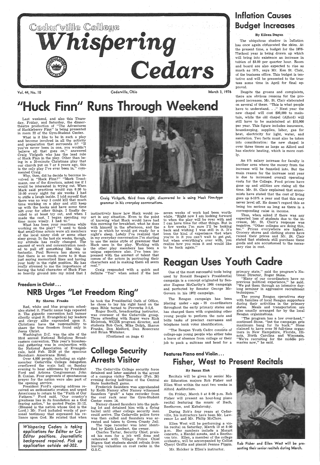

Vol. 44, No. 10 Cedarville, Ohio

What is it like to be in such a play and become involved in all the activity and preparation that surrounds it? "If you've never been in one, you wouldn't believe all that goes on,'' answered Craig Vielguth who has the lead role of Huck Finn in the play. Other than being in a 20-minute Christmas play that our church put on 7 or 8 years ago, this is the only play I've ever been in," com- $\mathbf{m}$ ented Craig.  $\qquad \qquad \qquad$   $\qquad \qquad$   $\qquad \qquad$   $\qquad \qquad$   $\qquad \qquad$   $\qquad \qquad$   $\qquad \qquad$   $\qquad \qquad$   $\qquad$   $\qquad \qquad$   $\qquad$   $\qquad$   $\qquad$   $\qquad$   $\qquad$   $\qquad$   $\qquad$   $\qquad$   $\qquad$   $\qquad$   $\qquad$   $\qquad$   $\qquad$   $\qquad$   $\qquad$   $\qquad$   $\qquad$   $\qquad$   $\$ 

Last weekend, and also this Thursday, Friday, and Saturday, the dinnertheatre production of "The Adventures of Huckleberry Finn'' is being presented in room 22 of the Gym-Student Center.

March 3, 1976

## "Huck Finn" Runs Through Weekend

## Inflation Causes Budget Increases.

#### By Eileen Dugan

The ubiquitous shadow in Inflation has once again obfuscated the skies. At the present time, a budget for the 1976-77school year is being drawn. up which will bring into existence an increase in tuition of \$3.00 per quarter hour. Room and board are also expected to rise as much as 10%, says Mr. Ken St. Clair, of the business office. This budget is tentative and will be presented to the trustees some time in April for final approval.

Despite the groans and complaints, there are obvious reasons for the proposed increases. Mr. St. Clair elaborated on several of these. "This is what people have to understand. . ." Next year the new chapel will cost \$30,000 to maintain, while the old chapel (Alford) will still have to be maintained at \$10,000 per year. This figure includes insurance, housekeeping, supplies, labor, gas for heat, electricity for light, water, and sanitation. Two facts must also be taken into consideration: the new chapel is over three times as large as Alford and has electric heating, which is more costly.

Freedom in Christ ... NRB Urges "Let Freedom Ring"

Why, then, did he decide to become in-volved in "Huck Finn?" "Mark Trautmann, one of the directors, asked me if I would be interested in trying out. When Mark· said practices would run 6:30 to 10: 00 every night for six weeks I had to stifle a laugh inside. I told myself that there was no way I could kill that much time working on a play and still keep up with the books and have some time left over for other things. I finally decided to at least try out, and when I made the cast, I began spending my time more wisely. I had to."

Craig Yielguth, third from right, discovered he is using Huck Finn-type grammar in his everyday conversations.

An 8% salary increase for faculty is another area where the money from the increase will be funneled into. But the main reason for the increase next year is due to increased overall operating costs for the College. Food prices have gone up and utilities are rising all the time. Mr. St. Clair explained that economists have stated that the cost of living goes up 8-10% a year and that this may never level off. He doesn't regard this as being too serious as long as there is a corresponding raise in income.

What has been your reactions while working on the play? "I used to think that small-time actors were all members of the local ninny club or some other sissy group. In the last six weeks, though, my attitude has really changed. The amount of work and concentration need-. ed to pull off something like this is fantastic. Paul Bowers has shown us that there is so much more to it than just saying memorized lines and having your body in the right position. He has really stressed to me the importance of having the total character of Huck Finn so heavily ground into my mind that I

instinctively know how Huck would react in any situation. Even to the point of knowing what Huck would have had this morning for breakfast, what he does with himself in the afternoon, and the way in which he would get ready for a night's sleep. Lately I've realized that in my everyday conversation I'm starting to use the same style of grammar that Huck uses in the play. Working with the other play members has been a unique experience also. I've been impressed with the amount of talent that comes of the actors in portraying their characters and in making them all seem real."

> One of the most successful tools being used by Ronald Reagan's Presidential campaign is a concept originated by Senator Eugene McCarthy's 1968 campaign and perfected by Senator George Mc-Govern in his 1972 campaign.

Craig responded with a quick and definite "Yes'' when asked if the last

#### By Sharon Franks

Red, white and blue program schedules stated it. Plastic name tags repeated it. The gigantic convention hall banner silently urged it. Evangelical lay leaders and clergy alike expounded upon it. Christians have the responsibility to share the true freedom found only in Jesus Christ.

"The program has a low over-head," continued Stone, "but the campaign ge'ts maximum bang for its buck." Stone claimed to have over 50 full-time organizers in New Hampshire, Florida, Illinois, North Carolina and Wisconsin. ''We're recruiting for the middle pri-

"The Reagan Youth Cadre consists of college-age young people who either take a leave of absence from college or their job to pack a suitcase and head for a maries now,'' he said.

Ellen West will be performing a violin recital on Saturday, March 13 at 8:00 p.m. Her numbers include a Mozart concerto, a Handel sonata, and a Beethoven trio. Ellen, a member of the college orchestra, will be adcompanied by Cellist Cheryl Griffis and pianist Jeanne Pippin.

Washington D.C. was the site of the 33rd annual National Religious Broadconvention. Th nial gathering was in conjunction with the National Association of Evangelicals, held Feb. 22-26 at the spacious Shoreham Americana Hotel. Over 4,000 people, including an eightmember Cedarville College delegation overflowed the main hall on Sunday evening to hear addresses by President Ford and Arizona Congressman John B. Conlan. Four segments of spontaneous prayer for the nation were also part of the opening service. President Ford's opening address received an enthusiastic ovation and urged Americans to return to the "Faith of Our Fathers." Ford said, "Our country's greatness lies in its foundation as a God fearing nation," he quoted Psalm 33:12. (Blessed is 'the nation whose God is the Lord.) Mr. Ford included words of personal testimony that expressed his reliance upon God. He related that when

*Whispering Cedars* is *taking applications for Editor or* Co-*Editor positions. Journalistic background required. Pick up application outside ad-302.* 

he took the Presidential Oath of Office, he chose to lay his right hand on the open Bible turned to Proverbs 3 :5,6.

Roger Booth, broadcasting instructor was overseer of the Cedarville group. Those attending with Roger were Rick McIntosh, WCDR program director, and students Bob Cook, Mike Dolph, Sharon Franks, Don Melford, Dan Rosecranz and Brian Whitaker.

(Continued on page 4)

## College Security Arrests Visitor

The Cedarville College security force detained and later assisted in the arrest of a campus visitor Thursday (Feb. 26) evening during half-time of the Central State basketball game.

Frederick Saunders was apprehended by Keith Namey after Namey witnessed Saunders "grab" a tape recorder from the coat rack near the Gym-Student Center room 14.

Namey chased Saunders into the parking lot and detained him with a flying tackel until other college security men could arrive. The Cedarville police force was then called and Saunders was arrested and taken to Green County Jail. The tape recorder was later identified by Keith Lambert, the owner.

Charles Tartar, Security Chief, praised his men for a job well done and reiterated with Village Police Chief Stigers that students should refrain from leaving valuables on coat racks in the G.S.C.

seven weeks of work had been worthwhile. "Right now I am looking forward to when the play will be over with and I can have time for other things. But in a few weeks I'm sure I'll be looking back and wishing I was still in it. It's been the kind of experience that when you're in it you can't wait to get out, but when everything's over with, you realize how you miss it and would like to be back again."

## **Reagan Uses Youth Cadre**

Thus, when, asked if there was any expected loss of students due to the increase, Mr. St. Clair's response was negative. "Other colleges are doing this too." Prices everywhere are higher'. Grocery stores and clothing stores have raised their prices and Mr. St. Clair stated that students still purchase these goods and are accustomed to the necessary rise in cost.

The Reagan campaign has been placing under - age - 25 co-ordinators throughout the early primary states and has charged them with organizing other young people to perform the nuts and bolts tasks of precinct canvasses and telephone bank voter identification.

primary state,'' said the program's National Director, Roger Stone.

"Many of our co-ordinators have no previous political experience,'' he said. "We put them through an intensive daylong seminar in aggressive recruitment techniques."

The young Reagan operatives stay with families of local Reagan supporters during their activities in the primary states. Meals and transportation are also usually arranged for by the local Reagan organizations.

### features Piano and Violin ... Fisher, West to Present Recitals

#### By Susan Zink

Recitals will be given by senior Music Education majors Rob Fisher and Ellen West within the next two weeks in Alford Auditorium.

On Friday, March 5 at 8:00 p.m. Rob Fisher will present an hour-long piano recital featuring the music of Bach, Beethoven, and Kabalevsky.

During Rob's four years at Cedarville, his instructors have been Mr. Lawrence Lo and Mr. Philip McClure.

Mr. Holcker is Ellen's instructor.



Rob Fisher and Ellen West will be pre- . senting their senior recitals during March.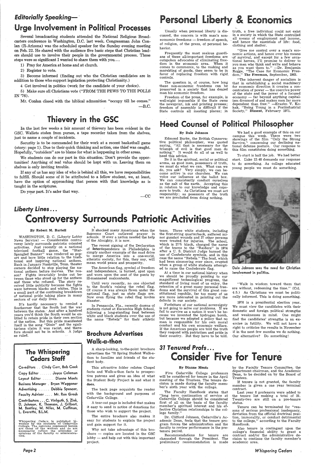### *Editorially Speaking-·*

Several broadcasting students attended the National Religious Broadcasters conference in Washington, D.C. last week. Congressman John Conlan (R-Arizona) was the scheduled speaker for the Sunday evening meeting on Feb. 22. He shared with the audience five basic steps that Christian leaders should use to involve their people in the governmental process. Those steps were so significant I wanted to share them with you...

### ·Urge Involvement in Political Processes

1) Pray for America at home and at church.

2) Register to vote.

3) Become informed (finding out who the Christian candidates are in addition to those who support legislation protecting Christianity.)

4 Get involved in politics (work for the candidate of your choice).

5) Make sure all Christians vote ("FROM THE PEWS TO THE POLLS IN '76).

Mr. Conlan closed with the biblical admonition "occupy till he comes."

 $-{\rm B.C.}$ 

In the last few weeks a fair amount of thievery has been evident in the GSC. Wallets stolen from purses, a tape recorder taken from the shelves, just to name a couple of incidents.

Freedom of the press, for example, is well-night impossible if the State owns the newsprint, ink and printing presses; freedom of assembly is difficult if the State controls all meeting places; in

Security is to be commended for their work at a recent basketball game (story: page 1). Due to their quick thinking and action, one thief was caught. Hopefully, "outsiders" are to blame for what is happening in other areas.

We students can do our part in this situation. Don't provide the opportunities! Anything of real value should be kept with us. Leaving them on shelves is only inviting trouble.

truth, a free individual could not exist in a society in which the State controlled all means of employment and income, and hence the essentials of life: food, clothing and shelter.

If any of us has any idea of who is behind all this, we have responsibilities to fulfill. Should some of it be attributed to a fellow student, we, at least, have the option of approaching that person with that knowledge as is taught in the scriptures.

Do your part. It's safer that way.

## Personal Liberty & Economics

-CC

### Thievery in the GSC

Usually when personal liberty is discussed, the concern is with man's noneconomic freedoms - freedom of speech, of religion, of the press, of personal behavior.

Frequently the most zealous guardians of these all-important freedoms are outspoken advocates of eliminating free-<br>dom in the economic area. When it dom in the economic area. comes to commerce, to the making and marekting of goods, they seem to be in favor of replacing freedom with rigid. controls.

The question is, of course, how long these non-economic freedoms can be preserved in a society that has denied man his economic freedom.

"Give me control over a man's economic actions, and hence over his means ·of survival, and except for a few occational heroes, I'll promise to deliver to you men who think and write and behave as you want them to." -Dr. Benjamin Rogge, "The Case for Economic Freedom," The Freeman, September, 1963.

"The inherent danger of socialism is that in establishing a social machinery for economic direction it creates a concentration of power - the coercive power of the state and the power of a focused  $e\text{conomy}$  - far beyond anything capitalism dreamed of and makes men far more dependent than free." -Erazim V. Kohak, "Being Young in a Postindustrial Society," Dissent, February 1971.

### **Heed Counsel of Political Philosopher**

#### By Dale Johnson

Edmond Burke, the British Conservative political philosopher, was quoted saying, "All that is necessary for the triumph of evil is that good men do<br>nothing." It would do all of us well to It would do all of us well to heed this advice.

Be it in the spiritual, social or political arena, as good men, possessors of truth, we must do what we can. What can we do, you ask? Very simply, we can become active in our churches. We can voice our influence at the ballot box. We can consistently conduct ourselves as the salt of the earth. Accepting this in relation to our knowledge and exposure to truth. As Christians we must act responsibly; as posessors of the truth we are precluded from doing nothing.

We had a good example of this on our campus this week. There were two showings of the film "Only the Strong Survive,'' concerning our declining national defense posture. Our response to this film constitutes doing something.

Forfeiture of our national sovereignty is not going to solve our problems. If we fail to survive as a nation it won't be because we invented the hydrogen bomb, but because we adopted a policy that no man is responsible for his own moral conduct and his own economic welfare. If the American people are told the truth they respond with patriotism and pride in their country. But they have to be told.

To start is half the job. We had better start. Luke 12:48 demands our response to do something. As college educated young people we must do something.



#### By Robert M. Bartell

1976 is a presidential election year. We must view the candidates with their domestic and foreign political strengths and weaknesses in mind. One might find the candidates' strengths is an exercise in futility. We will not have a right to criticize the results in November if in the next few months we do nothing. Our alternative? Do something!

### Liberty Lines ... **Controversy Surrounds Patriotic Activities**

WASHINGTON, D. C. (Liberty Lobby  $News Service) - Considerable contro$ versy lately surrounds patriotic oriented activities. Just recently on a national<br>televised football game, the "Starfootball game, the "Star-Spangled Banner" was rendered as popart and bore little relation to the traditional and inspiring national anthem. Back in January Nashville, Tenn. theater owners decided to stop playing the national anthem before movies. The reason? Fights invariably broke out between those who stood up for the anthem and those who refused. The story received little publicity because the fights were between blacks and whites. This is a small part of the continuing breakdown of national pride taking place in many sectors of our daily lives.

> The Faculty Handbook states that "long term continuation of service at Cedarville College should be considered first of all on the basis of the faculty member's spiritual interest and his effective Christian relationships to the college family.'

It's hardly necessary to remind a Southerner that the South lost the war between the states. · And after a hundred years you'd think the South would be entitled to retain pride in their own section of the nation. But this pride manifested itself in the song "Dixie" and the egalitarians claim it was racist, and therefore should not be in schools. A judge so ruled.

### The Whispering Cedars Staff

Co-editors .. Cindy Carr, Bob Cook Copy Editor ...... Joyce Coleman Layout Editor ...... Dianne Monts Business Manager . Bryan Waggoner Advertising . . . . . Debbie Spencer, Faculty Advisor .... Mr. Ron Grosh Contributors ... C. Vielguth, S. Zink, D. Johnson, K. Thomson, J. Gilbert, M. Bentley, M. Niles, M. Cuffman, l. Everette, B.l.M.

Whispering Cedars is published bi-<br>weekly by the students of Cedarville<br>College. The opinions expressed herein<br>are those of the writters and do not<br>necessarily reflect the attitudes or<br>opinions of the faculty or administra

*Page2* 

\· It shocked many Americans when the Supreme Court outlawed prayer in schools. If ever a nation needed the help of the Almighty, it is now.

The recent signing of the Declaration of Interdependence in. Philadelphia is simply another example of the mad drive to merge America into a one-world, atheistic society, for this, they say, will mean world peace and prosperity.

The American flag, symbol of freedom and independence, is burned, spat upon and worn upon the seat of the pants by ill-mannered malcontents.

Until very recently, no one objected to the South's raising the rebel flag. Of course it was always flown under the national flag, just as state flags are. Now even flying the rebel flag invites disaster.

In Pensacola, Fla., recently dozens of students rioted at Escambia High School, following a long-standing feud between white and black students over the use of the name "Rebels" for their athletic

# Brochure Advertises

### Walk-a-thon

A sharp-looking, to-the-point brochure advertises the '76 Spring Student Walk-athon to families and friends of the student body.

This attractive folder relates Chapel facts and Walk-a-thon facts to prospective patrons and gives an idea of what the Student Body Project is and what it does.

The back page acquaints the reader with the background and purposes of Cedarville College.

A tear-out page is included that makes it easy to send in notice of donations for those who wish to support the project.

The entire brochure also makes it easy for students to explain the. project and gain support for it.

Why not take advantage of this brochure - copies are located in the GSC lobby - and help out with this important project.

### 31 Tenured Profs... **Consider Five for Tenure**

team. Three white students, including the first-string quarterback, suffered minor gunshot wounds and 27 other persons were treated for injuries. The school, which is. 27% black, changed the name of the teams to the "Raiders" in 1974 after a U. S. District Judge banned the use of Confederate symbols, and in this case the name "Rebels." The feud, which had been simmering ever since, erupted when a group of white students attempted to raise the Confederate flag.

At a time in our national history when we should be proudly pointing to our magnificent technological progress, the standard of living most of us enjoy, the retention of a great many personal freedoms and the survival of this great constitutional republic, far too many of us are more interested in pointing out the defects in our society.

Dale Johnson sees the need for Christian involvement in politics.

"Walk in wisdom toward them that are without, redeeming the time." (Col. 4:5.) As Christians we must be politically informed. This is doing something.

#### By Dianne Monts

Five Cedarville College professors will be considered for tenure in the April meeting of the Trustees. The tenure decision is made during the faculty member's sixth year with the college.

Dr. Clifford Johnson, Cedarville's Academic Dean, feels that the tenure program forces the administration and the faculty to review performance in the pretenure period.

Recommendations for tenure are channeled through the President. The preliminary recommendation is made

by the Faculty Tenure Committee, the department chairman, and the Academic Dean, to be decided on by the Board of Trustees.

If tenure is not granted, the faculty member is given a one year terminal contract.

Last year 6 professors were added to the tenure list making a total of 31. Twenty-two are still on a pre-tenure status.

Tenure can be terminated for "reasons of serious professional inadequacy, deviation from the official doctrinal position, immorality, or conduct detrimental to the college," according to the Faculty Handbook.

Also tenure is contingent upon the college's financial ability. to grant a contract and/or the administrative decision to continue the faculty member's academic area.

*Whispering Cedars*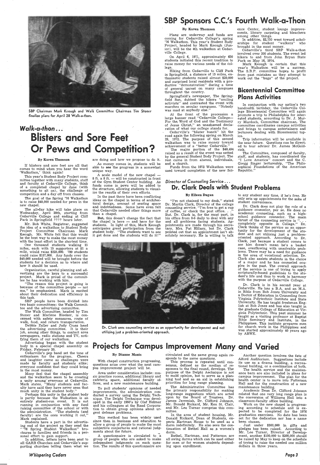

SBP Chairman Mark Keough and Walk Committee Chairman Tim Stoner finalize plans for April 28 Walk-a-thon.

## Walk-a-thon ... **Blisters and Sore Feet** Or Pews and Competition?

#### By Karen Thomson

If blisters and sore feet are all that comes to mind when you hear the word 'Walkathon,' think again!

This year's Student Body Project committee together with many students, staff and faculty at Cedarville College, think of a completed chapel by June (with something to sit on), the challenge of 'Competition and a day off from classes.

One thousand students walking 15 miles, each with 15 supporters at \$1 a mile, would raise \$225,000. 700 students could raise \$157,000. Any funds over the \$40,000 needed will be brought before the students for a decision as to where and how it should be used.

The goal of the Spring '76 Walkathon is to raise \$40,000 needed for pews in the new chapel.

The all-day hike will take place on Wednesday, April 28th, starting from Cedarville College and ending at Cliff Park in Springfield ???? hours later.

Mr. Bob White, Registrar, suggested the idea of a walkathon to Student Body Project Committee Chairman Mark Keough. Mr. White felt that this would be the best way to make the most money with the least effort in the shortest time.

The Walk Committee, headed by Tim Stoner and Marlene Bleeker, is concerned with safety measures, route of walk, food, and return transportation.

A scale model of the new chapel -8 ft. x 8 ft. — will be constructed in front of the Gym Student Center building. As funds come in pews will be added to the structure, allowing students to visualize the resutls of their own efforts.

Organization, careful planning and advertising are the keys to a successful project. Mark is proud of the committee he has working with him.

Plans are underway and funds are coming for Cedarville College's spring '76 Walkathon. This. year's Student Body Project, headed by Mark Keough (Junior), will be the 4th walkathon at Cedarville College.

"The reason this project is going is because of the committee people  $-$  not me," he emphasized. Mark is excited about their dedication and efficiency in this task.

On April 6, 1971, approximately 650 students initiated this recent tradition to raise money for various needs of the college.

 SEP people have been divided into two basic committees: the Walk Committee and the advertising committee.

At the front of the procession a large banner read. "Cedarville College-For the, Word of God and the Testimony of Jesus Christ," an unashamed declaration of what our college stands for.

are doing and how we propose to do it. As money comes in, students will be able to see the progress in a somewhat unique way.

In the past there have been conflicting ideas on the chapel in terms of architectural design, amount of seating space and indebtedness. Some have even felt that Cedarville needed other things more than a chapel.

But, this doesn't change the fact that the chapel is here - and here for the students. In light of this, Mark Keough anticipates great participation from the student body. "The students want to see it get done and the students will do it!"



#### Ry Karen Thomson

''I"m not chained to my desk," stated Dr. Martin Clark, Director of the college counseling service. "I'm free to get a cup · of coffee, or check the post office. . ." But. Dr. Clark is, for the most part, in his office from 8-5 daily to deal with any and all problems facing students. Appointments are made through his secretary, Mrs. Pat Hillary, but Dr. Clark pointed out that an appointment isn't absolutely necessary. He is willing to talk

Hiking from Cedarville to Cliff Park in Springfield, a distance of 15 miles, enthusiastic students raised almost \$20,000 and surprised local residents with a productive "demonstration" during a time of general unrest on many campuses throughout the country.

Springfield's newspaper, The Springfield Sun, dubbed the hikers "smiling activists" and contrasted the event with marches on secular campuses. "Nobody was mad at anybody else."

Cedarville's "blister bunch" hit the road again the following spring on March 29, 1972. The purpose of this second walkathon was to raise money toward achievement of a "better Cedarville."

 The major portion of the \$40,494 raised as a result of the event was netted by the general Student Body Project. The rest came in from alumni, individuals, and a church.

Cedarville's pep band set the tone of enthusiasm for the program. Cheers and laughter came as challenges were made by faculty and students alike; everyone confident that they could bring in the most money.

 Funds from the 1972 Walkathon were used toward completion of the new Science Center, student lounge improvements, library carpeting and bleachers among other things.

In addition, \$2, 750 went toward scholarships for student "walkers" who brought in the most money.

Cedarville's third SEP Walk-a-than involved over 200 students. The event led hikers to and from John Bryan State Park on May 16, 1974.

Mark Keough· is certain that this year's Walkathon will be a success. The S.B.P. committee hopes to profit from past mistakes as they attempt to work out the "bugs" of the project.

### Bicentennial Committee Plans Activities

### *Director of Counseling Service .* .. Dr. Clark Deals with Student Problems

In conjunction with our nation's two hundredth birthday, the Cedarville College Bicentennial Committee will again promote a trip to Philadelphia for interested students, according to Dr. J. Murry Murdoch, Committee chairman. The committee coordinates campus activities and brings to campus entertainers and lecturers dealing with Bicentennial topics.

This process is repeated until consensus, defined as the median of responses to the final round, develops. The purpose of the Delphi Aechnique is not to mold opinion, but to serve as a planning tool and as an aid in establishing priorities for long range planning.

Trip information will be available in the hear future. Questions can be directed to tour advisor Dr. James McGoldrick.

 The Committee, composed of faculty, staff, and students, has coordinated the ''I Love America" concert and the C. Gregg Singer lectureship, "The Philosophical Foundations of the American Republic.''

.....<br>Bethel, Hartman, and Patterson are all swing dorms which can be used either for men or for women students depending upon enrollment.

 $S_{\rm{max}}$ 

#### Ry Eileen Dugan

Another question involves the fate of Alford Auditorium. Suggestions include its use as a drama building, a recreational building, or a combination of both.

Academic Dean Dr. Clifford Johnson related that one very long range plan is the conversion of Williams Hall into a classroom-faculty office building.

to any student any time, if he's free. He only sets up appointments for the sake of student convenience.

Dr. Clark does not play the role of a guidance counselor, per se. He does no academic counseling, such as a highschool guidance counselor. The main  $t$  thrust of the counseling service is completely opposite in College." Dr. Clark thinks of the service as an opportunity for the development of the student and not utilizing just a problemoriented approach. According to Dr. Clark, just because a student comes to see him doesn't mean he's a basket case, overflowing with unsolvable problems. There may be a need for guidance in the area of vocational selection. Dr. Clark also assists students in the choice of a major and he has counseled couples in the past. The overall approach of the service is one of trying to apply scripturally-based guidelines to the student's life and thus to work in harmony with the purpose of Cedarville College.

Debbie Zaller and Judy Cross head the advertising committee. It is their job, among other things, to contact area newspapers, radio stations and TV, notifying them of our walkathon.



Dr. Clark sees counseling service as an opportunity for development and not utilizing just a problem-oriented approach.

Dr. Clark is in his second year at Cedarville. He has a B.A. and an M.A. in Bible from Bob Jones University and a Doctor of Education in Counseling from Virginia Polytechnic Institute and State University. He has taught freshman English at Bob Jones and has also taught in the graduate College of Education at Virginia Polytechnic. This past summer he taught as a visiting professor at Baptist Bible Seminary and Institute, in the Philippines. This institute prepares men for church work in the Philippines and was started approximately 40 years ago by ABWE.

Advertising began with the student body in a special chapel assembly on Friday, February 20.

Many feel that the chapel assembly and the walkathon seem to be creating a unity  $\mathsf{among}'$  everyone at Cedarville. Mark states, "Many students and faculty have said they have never seen that much unity in the student body."

Perhaps this unity in the student body is partly because the Walkathon is an entirely student-run event. It is not running in conjunction with any fund raising committee of the school or with the administration. "The students (and faculty) are the ones working it out,' Mark explained.

Students have a part in the advertising end of the project as they send the "'76 Spring Student Walkathon" brochures to families and friends in a personal effort to gain support.

In addition, letters have been sent to all GARB Churches and Cedarville's supporting churches telling them what we

### Projects for Campus Improvement Many and Varied

*Whispering Cedars* 

#### By Dianne Monts

With chapel construction progressing, questions arise over what the next campus improvement project will be.

Area under consideration include: music practice rooms, additional library and cafeteria space, additional faculty offices, and a new maintenance building.

To poll students' opinions of needed improvements, the administration conducted a survey using the Delphi Technique. The Delphi Technique was developed in the early 1950's by Olaf Helmer and his colleagues at the Rand Corporation to obtain group opinions about urgent defense problems.

This method has been widely used since then in business and education to allow a group of people to make the most subjective conjectures and rational judgments about the future.

A questionnaire is circulated to a group of people who are asked to make independent judgments on each question. The results of this questionnaire are circulated and the same group again responds to the same questions.

The Administrative Committee has the primary responsibility for making long-range suggestions which are acted upon by the Board of Trustees. Dr. James Jeremiah, Dr. Clifford Johnson, Mr. Donald Rickard, Mr. Ken St. Clair, and Mr. Lee Turner comprise this committee.

In the area of student housing, Mr. Donald Rickard, Dean of Students, expects Hartman House to be used as a dorm indefinitely. He also sees the continuation of Bethel Hall as a women's dorm.

The health service and the maintenance barn are also included in plans for campus improvement. The plan for the health center is to move into Patterson Hall and for the construction of a new maintenance building.

Work on the new chapel is progressing according to schedule and is expected to be completed for the 1976 graduation exercises. No date has been set for the dedication nor has a name been chosen.

. Just under \$300,000 in gifts and pledges has been raised. According to Mr. Lee Turner, Director of Development, another \$100,000 to \$200,000 should be raised by May to keep on the schedule of trying to raise the needed one million dollars in three years.

 $\mathcal{A}^{\mathcal{A}}$ 

*Page3*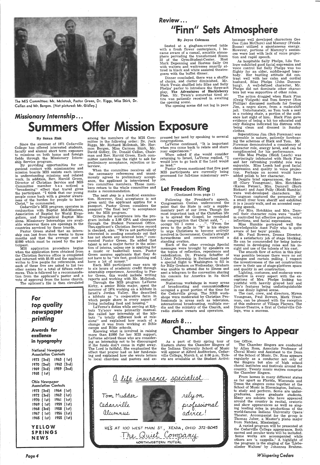

The MIS CommiHee: Mr. Mcintosh, Pastor Green, Dr. Riggs, Miss Shirk, Dr; Callan and Mr. Bergen. (Not pictured: Mr. Gidley.)

### *Missionary Internship ...*  Summers Offer Missio er Mission Exposure

#### By Suzan Zink

Since the summer of 1971 Cedarville College· has offered interested students, faculty and alumni short term exposure to missions on both home and foreign fields through the Missionary Internship Service program.

By providing opportunities for organized contact with missionaries and mission boards MIS assists each intern in understanding missions and related work. In. addition, Rev. Harold Green, Director of Christian Service and MIS Committee member has noticed a "broadening" effect that travel gives<br>the participant. "I think that our young the participant. "I think that our young people come back with a greater awareness of the burden for people to know Christ," he commented.

Cedarville's MIS program operates in conjunction with Baptist Mid-Missions, Association of Baptist for World Evangelism, and Evangelical Baptist Missions. Missionary Internships are available wherever there are openings in the countries serviced by these boards.

Pastor Green stated that an internship can last from three weeks to three months and that the average cost is \$1000 which must be raised by the participant.

The next step is a medical examination. However, final acceptance is not given until the applicant applies for a passport. Pastor Green considers the passport "the final key" to acceptance into the MIS program.

MIS application procedure begins when the application form obtained from the Christian Service office is completed and returned with \$5.00 and the applicant writes to five people for references, and each of these five are asked to list two other names for a total of fifteen references. This is followed by a recommendation from the applicant's pastor and a vote of approval from the home church.

Criteria for acceptance into the program include a 2.00 GPA and clearance through the Student Personnel Office. The applicant's Christian Service record is checked, also. "We're not particularly interested in sending somebody out that has not shown any interest here," commented Pastor Green. He added that talent is not a major factor in the selection of interns, unless one is applying for a music or basketball team. Pastor Green assures applicants that they do not have to be "six feet, good-looking and have a lot of money."

Through the MIS program Laverne Kirby, a senior Bible major, spent the summer of 1974 working on a kibbutz in Israel's Jordan Valley. She described a kibbutz as "a cooperative farm in which people share in every aspect of living including food and housing.

The aplicant's file is then circulated

### for top quality newspaper printing

### *Review ....*  "Finn" Sets Atmosphere

among the members of the MIS Committee in the following order: Dr. Jack Riggs, Mr. Richard Mcintosh, Mr. Harmon Bergen, M;iss Carmen Shirk, Mr. David Gidley, Dr. Donald Callan, Chairman and Rev. Harold Green. Each committee member has the right to ask for preliminary acceptance, rejection or interview.

When the committee receives all of the necessary references and unanimously agrees to preliminary acceptance, the applicant is interviewed by two committee members. These members return to the whole committee and make a recommendation.

Each MIS participant may earn up to six hours of academic credit through internship experience. According to Pastor Green, this would include writing reports and working with Mr. Mcintosh.

The action dragged when Huck Finn (Craig Vielguth) and Tom Sawyer (Ron Phillips) discussed methods for freeing Jim, a negro slave, from a make-shift jail. Unfortunately, as Tom took a seat in a rocking chair, a portion of the audience lost sight of him. Huck Finn gave evidence of being a bit too educated and only dialogue indicated his distress with being clean, and dressed in Sunday clothes.

#### By Joyce Coleman

Seated at a gingham-covered table with a fresh flower centerpiece, I became aware of a casual, amiable atmosphere pervading the transformed Room 22 of the Gym-Student-Center. Host Mark Depenning and Hostess Sally Ott with waiters and waitresses smartly attired in black and white assisted theatregoers with the buffet dinner.

Dinner concluded, there was a shuffle of chairs, and clatter diminished. Mr. Mark Twain shuffled into Silas and Sally Phelps' parlor to introduce the three-act play, The Adventures of Huckleberry Finn. Mr. Twain's somewhat tired attire was patiently received in awaiting the opening scene.

> Mr. Paul Bowers, Drama Director, did a satisfactory job of stage blocking. He can be commended for being instrumental in developing roles and his insight and use of the talents of his cast.

The opening scene did not lag in pace

The smooth flow of action in this play was possible because there were no set changes and curtain pulling. I respect the inventiveness of the set construction crew in their use of stage-platform space and quality in set construction.

pressed her need by speaking to several

congregations. LaVerne continued, "It is important when you come back to relate and share your experiences.''

> The cast, crew, and directors, Myron Youngman, Paul Bowers, Mark Trautman, can be pleased with the reception of this endeavor of Village Players. The Dinner-Theatre, a first at Cedarville College, was a success.

When asked if she would consider returning to Israel, La Verne replied, ''I would love to go back if the Lord would so lead."

Knowing what is involved in raising more than \$1000 for her MIS support, LaVerne advised those who are considering an internship not to be discouraged if the funds don't come in right away. The Lord is faithful. She emphasized the effect that prayer had on her fund-raising and explained how she wrote letters to local churches and pastors and ex-Awards for<br>
Excellence<br>
Externe and Bible schools.<br>
Externe and statute is movely of the spectral of their spring tour of the Office.<br>
In typography<br>
In typography<br>
In typography<br>
In typography<br>
In typography<br>
In typograph

Pastor Green mentioned that five past MIS participants are currently being processed for full-time missionary service.

### Let Freedom Ring

#### (Continued from page 1)

Following the President's speech, ·congressman Conlan underscored the point that the State is only a supplementary part of our lives. Though the most important task of the Christian life is to spread the Gospel, he reminded the congregation that Christ said, ". . . occupy till I come . . .". "From the pews to the polls in '76" is his slogan to urge Christians to become actively involved in Government. Conlin's straight forwardness and concern received a standing ovation.

YELLOW SPRINGS **NEWS** 

Each of the other evenings Special messages were brought by speakers on the topics of reflection, repentence and rededication. Dr. Francis Schaffer of L' Abri Fellowship in Switzerland made a special flight to Washington to fill in for Billy Graham on Wednesday. Graham was unable to attend due to illness and sent a telegram to the convention sharing his concern for America in its third century.

· Numerous workshops in many areas  $\,$  of broadcasting and communica)  $\,$ occupied a great portion of the time for the Cedarville group. The NRB workshops were moderated by Christian Professionals in areas such as television, international broadcasting, multiple media and the ministry of the Church, and radio station owners and operators.

# *March* 8.e.

because well developed characters Gee Gee (Lisa McClure) and Mammy (Frieda Boone) utilized a spontaneous energy. However, portions of Mammy's sentences were lost with lack of voice projection and rapid speech.

As hospitable Sally Phelps, Lila Terlouw exhibited good facial expression and voice control but Sally Phelps was too flighty for an older, middle-aged busybody. Her bustling attitude did contrast well with her calm and cordial husband, Silas Phelps (John Dannenburg). A well-defined character, Mr. Phelps did not dominate other characters but was supportive of other roles.

Superstitious Jim (Bob Foreman) was agreeable in nature, patiently forebearing the schemes of Huck and Tom. Mr. .Foreman demonstrated a consistency of character role, energy level, and can be complimented for his performance.

Ella Mae Phelps (Heidi Leach) was convincingly infatuated with Huck Finn and her refreshing youthful. role was enjoyable. Miss Leach had good facial expression and quality in voice projection. Perhaps an accent would have added polish to her character.

Despite brief appearances, the Sheriff (Gary Youngman), Mrs. Hotchkiss (Karen Fetzer), Mrs. Damrell (Barb Biekart) and Aunt Polly (Heidi Humble) were well-developed characters. Mr. Youngman captured the personality of a small river town sheriff and exhibited it in a jaunty walk, and an accented easygoing speech.

For Mrs. Hotchkiss and Mrs. Damrell their character roles were "made" in controlled but effective gestures, voice inflections, and facial expressions.

Miss Humble portrayed well the knowledgeable Aunt Polly who is quite aware of her boys' pranks.

Lighting, costumes, and make-up were effective in every aspect with the exceptions of Mrs. Phelps looking too youthful with heavily grayed hair and Jim's features being undistinguishable in one dimly lighted scene.

Awards for exellence

La Verne's duties while serving at Kibbutz Ya'acov were primarily manual. She called her internship at the kibbutz "a totally different look at missions" and explained how much of a change it was from working at Bible camps and Bible schools.

1970 (2nd) 1962 (3rd) 1969 (3rd) 1959 (2nd} 1965 ( 1st)

Ohio Newspaper Association Contests 1973 (3rd} 1964 (1st} 1972 (3rd) 1962 ( 1st) 1970 ( 1st) 1961 ( 1st) 1969 ( 1st} 1959 ( 1st) 1968 (3rd) 1958 ( 1st) 1967 ( 1st) 1956 (1st) 1965 ( 1st) 1955 (1st)

*Page4* 

Eastern states the Chamber Singers of the Indiana University School of Music will appear at Alford Auditorium, Cedarville College, March 8, at 8:00 p.m. Tickets are available at the Student Activi-

<u>a life insurance</u> sf <u>a life insurance</u> specialist... Tom Mudder **INCORDINATION** Cedarville alumnus HES AT 100 WEST MAIN ST., XENIA, OHIO 372-8045

As a part of their spring tour of ties Office.

*,ThL* Q 0£t *Com'fM11f*  NOQTHWEST£RN MUTUAL

The Chamber Singers are conducted by Allan Ross, Associate Professor of Choral Music and Assistant to the Dean of the School of Music. Dr. Ross appears regularly as a conductor not only of the Singers but also of high school choral institutes and festivals around the country. Twenty music majors comprise the Chamber Singers.

From homes in many different states as far apart as Florida, Wisconsin and Texas the singers come together at the School of Music in Bloomington, Indiana, to study and perform. Some are undergraduates, some graduate students. Many are soloists who have appeared around the country in recital, oratorio and show appearances as well as singing leading roles in productions of the world-famous Indiana University Opera~· Theater. Accompanist for the group is Thomas Jaber, a Master's piano major from Natchez, Mississippi.

A varied program will be presented at the Cedarville College appearance. Both sacred and secular texts will be included. Some works are accompanied while others are 'a cappella.' A highlight of the program is the singing of the 'Liebeslieder Waltzes' by Johannes Brahms.

*Whispering Cedars*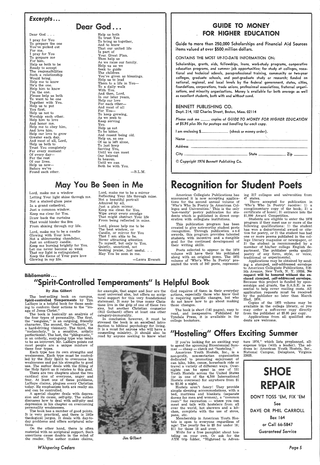### *,Excerpts ..•*

Dear God . . .

I pray for You To prepare the one You've picked out For me. I pray for You To prepare me For him. Help us both to be Ready to accept The responsibilities Such a relationship Would bring. Help me to know He's the one. Help him to know I'm the one. Please help us both To want to be one Together with You. Help us to put You first. Help us not to Worship each other. Help him to love And honor me. Help me to obey him, And love him. Help our love to grow Greater each day. And most of all, Lord, Help us both to Trust You completely For every moment Of every day-For the rest Of our lives. Help us now-Before we've Found each other.

Dear God...

Lord, make me a window Letting Your light shine through me. Not a stained-glass pane In a grand cathedral, Just a common window. Keep me clear for You. Draw back the curtains That would hinder the Son From shining through my life.

Help us both To trust You To bring us together, And to know That our united life Is part of Your Great Plan. Then help us As we raise our family. Help us as we Seek to guide The children You've given as blessings. Help us to lead Them to a life in You-To a daily walk With You. And then, Lord, In our later years, Help our love For each other-And most of all For You-To keep growing, As we seek to Keep serving You. Help us not To be bitter, And resent being old. Help us, as one Of us is left alone, To just keep Serving You, Until we can meet Our beloved In heaven. Until we can Both be with You.

 $-B.L.M.$ 

### **GUIDE TO MONEY** FOR\_ HIGHER EDUCATION

Guide to more than 250,000 Scholarships and Financial Aid Sources items valued at over \$500 million dollars.

### May You Be Seen in Me

Lord, make me to be a candle Glowing with Your love. Not a shimmering chandelier, Just an ordinary candle. Keep me burning brightly for You. Let me never become so weak That my light is extinguished. Keep the flame of Your pure love Glowing in my life.

Bibliomania ...

Lord, make me to be a mirror Reflecting Your life through mine. Not a beautiful portrait Admired by all, Just a plain mirror. Keep me clean for You. Wipe away every smudge That might obstruct Your life From being reflected in mine.

Lord, please help me to be The best window, or Candle, or mirror for You That I am able to be. Never attracting attention To myself, but only to You. Quietly, unnoticed, not Seeking praise, just useful. . May You be seen in me.

-Laura Everett

CONTAINS THE MOST UP-TO-DATE INFORMATION ON:

Scholarships, grants, aids, fellowships, loans, work-study programs, cooperative education programs, and summer job opportunities; for study at colleges, vocational and technical schools, paraprofessional training, community or two-year coNeges, graduate schools, and post-graduate study or research; funded on national, regional, and local levels by the federal government, states, cities, foundations, corporations, trade unions, professional associations, fraternal organi. zations, and minority organizations. Money is available for both average as well as excellent students, both with and without need.

#### BENNETT PUBLISHING CO.

Dept. 214, 102 Charles Street, Boston, Mass. 02114

*Please rush me* \_\_ *copies of GUIDE TO MONEY FOR HIGHER EDUCATION at \$5.95 plus 30c for postage and handling for each copy.* 

I am enclosing \$

Name \_\_\_\_\_\_\_\_\_\_\_\_\_\_ Address  $City$   $\_$ 

© *Copyrighf 1976 Bennett Publishing* Co.

## **Recognition for Student Poets**

American Collegiate Publications has announced it is now accepting applications for the second annual volume of 'Who's Who In Poetry In American Colleges and Universities.' This is the only 'non-vanity' poetry publication for students which is published in direct cooperation with collegiate institutions.

This publication program has been created to give noteworthy student poets recognition. Through publication and awards, this program provides talented students with incentive and a stangible goal for the continued development of their writing skills.

If you're looking for an exciting way to spend the upcoming Bicentennial Summer — cheap — check out ''hosteling.''

American Youth Hostels, Inc., is a non-profit, non-sectarian organization dedicated to promoting enjoyment of can hike, bike, canoe, horseback ride or travel a variety of different ways. Over- . nights can be spent in one of 151 Youth Hostels across the United States ( or in one of the -4,500 International Hostels overseas) for anywhere from \$1 to  $$3.50$  a night.

Poets selected to appear in the 1976 volume will have their bio published along with an .original poem. The 1975 volume of 'Who's Who In Poetry' presented the work of 347 poets, represent-

ing 217 colleges and universities from<br>47 states.<br>Those accepted for publication in<br>"Who's Who In Poetry' receive: 1) a<br>complimentary copy of the book; 2) a<br>certificate of honor; 3) entrance into the<br>\$1,000 Award Competit

pans, etc. Membership in American Youth Hostels is open to everyone regardless of age! The yearly fee is \$5 for under 18; \$11 for those 18 and over.

tion for poetry, or 2) the student has had one or more poems published in the col lege literary magazine or newspaper, or 3) the student is recommended by a member of his/her college English de partment. The publisher seeks quality poetry of any form, style, or voice, traditional or experimental.

Applications may be obtained by sending a stamped, self-addressed envelope to American Collegiate Publications, 516- 5th Avenue, New York, N. Y. 10036. No request will be honored without the enclosed stamped, self-addressed envelope. Because this project is funded by sponsorships and grants, the S.A.S.E. is essential to help cover mailing costs. All application requests must be received by the publisher no later than March 22nd, 1976.

#### By Jim Gilbert

The best-selling book on campus, Spirit-controlled Temperments by Tim LaHaye is a helpful book for those seeking to conform their actions to the "image of Jesus Christ."

The book is basically an analysis of the four types of personality. The first, the "sanguine," is an outgoing, friendly character. The second, the "choleric," is a hard-driving visionary. The third, the "melancholy," is a sensitive, artistic perfectionist. The last, the "phlegmatic," is an orderly, easy-going type who tends to be an introvert. Mr. LaHaye points out most people are a unique mixture of these four types. Each type has its own strengths and weaknesses. Each type must be controlled by the Holy Spirit to overcome his weaknesses and put his strengths to good use. The author deals with the filling of the Holy Spirit as it relates to this goal. There are two chapters about the two cardinal sins of everyone, anger and fear. At least one of these problems, LaHaye claims, plagues every Christian today. He emphasizes both are really sin and can be controlled.

A special chapter deals with depression and its cause, self-pity. The author discusses how to deal with self-pity and depression in his chapter on overcoming personality weaknesses.

The book has a number of good points. It is very practical, and there is little theological jargon. It deals with day-today problems and offers scriptural solutions.

On the other hand, there is often material with no scriptural support. Such assertions cause doubts in the mind of the reader. The author makes claims,

*Whispering Cedars* 

for example, that anger and fear are the most universal sins, but offers no scriptural support for this very foundational statement. It may be true many Christians live in the grip of one of these two sins, but another Christian counselor (Bill Gothard) offers at least one other category-immorality.

In conclusion however, it must be stressed the book is an excellent introduction to biblical psychology for living. It is a must for anyone who will have a counseling ministry. It should also be read by anyone seeking to know what

Jim Gilbert

God requires of them in their everyday actions, especially those who know God is requiring specific changes, but who do not know how to go about making those changes.

The book is short (141 pages), easy to read, and inexpensive. Published by Tyndale Press, it is available in the college bookstore.

## "Hosteling" Offers Exciting Summer

Copies of the 1975 volume may be available in the college library, *ot* you may order a soft-cover copy directly from the publisher at \$5.95 per copy.

Applications from all qualified students are welcome.

## "Spirit-Controlled Temperaments" Is Helpful Book

Hostels aren't fancy! They provide simple sleeping accommodations, with a bed, mattress and blankets (separate dorms for men and women), a "common room" for recreation -- where you can meet and talk with hostelers from all over the world, hot showers and a kitchen, complete with the use of stove,

Write for a free pamphlet about hosteling on your own. Or ask for the A YH trip folder, "Highroad to Adven-

ture 1976," which lists preplanned, all expense trips (with a leader). The ad dress is: American Youth Hostels, Inc., National Campus, Delaplane, Virginia 22025.